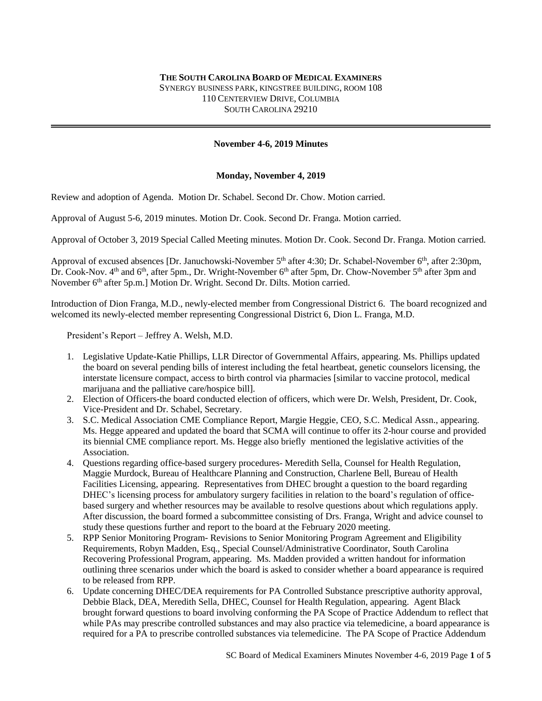# **THE SOUTH CAROLINA BOARD OF MEDICAL EXAMINERS** SYNERGY BUSINESS PARK, KINGSTREE BUILDING, ROOM 108 110 CENTERVIEW DRIVE, COLUMBIA SOUTH CAROLINA 29210

## **November 4-6, 2019 Minutes**

#### **Monday, November 4, 2019**

Review and adoption of Agenda. Motion Dr. Schabel. Second Dr. Chow. Motion carried.

Approval of August 5-6, 2019 minutes. Motion Dr. Cook. Second Dr. Franga. Motion carried.

Approval of October 3, 2019 Special Called Meeting minutes. Motion Dr. Cook. Second Dr. Franga. Motion carried.

Approval of excused absences [Dr. Januchowski-November 5<sup>th</sup> after 4:30; Dr. Schabel-November 6<sup>th</sup>, after 2:30pm, Dr. Cook-Nov. 4<sup>th</sup> and 6<sup>th</sup>, after 5pm., Dr. Wright-November 6<sup>th</sup> after 5pm, Dr. Chow-November 5<sup>th</sup> after 3pm and November 6<sup>th</sup> after 5p.m.] Motion Dr. Wright. Second Dr. Dilts. Motion carried.

Introduction of Dion Franga, M.D., newly-elected member from Congressional District 6. The board recognized and welcomed its newly-elected member representing Congressional District 6, Dion L. Franga, M.D.

President's Report – Jeffrey A. Welsh, M.D.

- 1. Legislative Update-Katie Phillips, LLR Director of Governmental Affairs, appearing. Ms. Phillips updated the board on several pending bills of interest including the fetal heartbeat, genetic counselors licensing, the interstate licensure compact, access to birth control via pharmacies [similar to vaccine protocol, medical marijuana and the palliative care/hospice bill].
- 2. Election of Officers-the board conducted election of officers, which were Dr. Welsh, President, Dr. Cook, Vice-President and Dr. Schabel, Secretary.
- 3. S.C. Medical Association CME Compliance Report, Margie Heggie, CEO, S.C. Medical Assn., appearing. Ms. Hegge appeared and updated the board that SCMA will continue to offer its 2-hour course and provided its biennial CME compliance report. Ms. Hegge also briefly mentioned the legislative activities of the Association.
- 4. Questions regarding office-based surgery procedures- Meredith Sella, Counsel for Health Regulation, Maggie Murdock, Bureau of Healthcare Planning and Construction, Charlene Bell, Bureau of Health Facilities Licensing, appearing. Representatives from DHEC brought a question to the board regarding DHEC's licensing process for ambulatory surgery facilities in relation to the board's regulation of officebased surgery and whether resources may be available to resolve questions about which regulations apply. After discussion, the board formed a subcommittee consisting of Drs. Franga, Wright and advice counsel to study these questions further and report to the board at the February 2020 meeting.
- 5. RPP Senior Monitoring Program- Revisions to Senior Monitoring Program Agreement and Eligibility Requirements, Robyn Madden, Esq., Special Counsel/Administrative Coordinator, South Carolina Recovering Professional Program, appearing. Ms. Madden provided a written handout for information outlining three scenarios under which the board is asked to consider whether a board appearance is required to be released from RPP.
- 6. Update concerning DHEC/DEA requirements for PA Controlled Substance prescriptive authority approval, Debbie Black, DEA, Meredith Sella, DHEC, Counsel for Health Regulation, appearing. Agent Black brought forward questions to board involving conforming the PA Scope of Practice Addendum to reflect that while PAs may prescribe controlled substances and may also practice via telemedicine, a board appearance is required for a PA to prescribe controlled substances via telemedicine. The PA Scope of Practice Addendum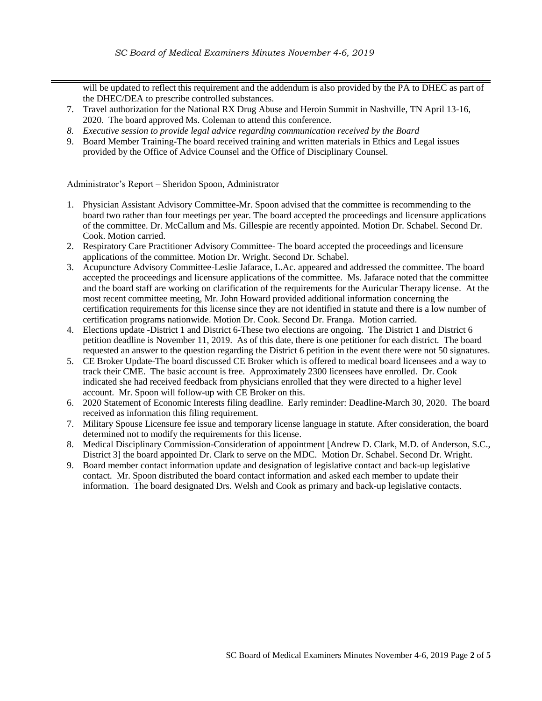will be updated to reflect this requirement and the addendum is also provided by the PA to DHEC as part of the DHEC/DEA to prescribe controlled substances.

- 7. Travel authorization for the National RX Drug Abuse and Heroin Summit in Nashville, TN April 13-16, 2020. The board approved Ms. Coleman to attend this conference.
- *8. Executive session to provide legal advice regarding communication received by the Board*
- 9. Board Member Training-The board received training and written materials in Ethics and Legal issues provided by the Office of Advice Counsel and the Office of Disciplinary Counsel.

Administrator's Report – Sheridon Spoon, Administrator

- 1. Physician Assistant Advisory Committee-Mr. Spoon advised that the committee is recommending to the board two rather than four meetings per year. The board accepted the proceedings and licensure applications of the committee. Dr. McCallum and Ms. Gillespie are recently appointed. Motion Dr. Schabel. Second Dr. Cook. Motion carried.
- 2. Respiratory Care Practitioner Advisory Committee- The board accepted the proceedings and licensure applications of the committee. Motion Dr. Wright. Second Dr. Schabel.
- 3. Acupuncture Advisory Committee-Leslie Jafarace, L.Ac. appeared and addressed the committee. The board accepted the proceedings and licensure applications of the committee. Ms. Jafarace noted that the committee and the board staff are working on clarification of the requirements for the Auricular Therapy license. At the most recent committee meeting, Mr. John Howard provided additional information concerning the certification requirements for this license since they are not identified in statute and there is a low number of certification programs nationwide. Motion Dr. Cook. Second Dr. Franga. Motion carried.
- 4. Elections update -District 1 and District 6-These two elections are ongoing. The District 1 and District 6 petition deadline is November 11, 2019. As of this date, there is one petitioner for each district. The board requested an answer to the question regarding the District 6 petition in the event there were not 50 signatures.
- 5. CE Broker Update-The board discussed CE Broker which is offered to medical board licensees and a way to track their CME. The basic account is free. Approximately 2300 licensees have enrolled. Dr. Cook indicated she had received feedback from physicians enrolled that they were directed to a higher level account. Mr. Spoon will follow-up with CE Broker on this.
- 6. 2020 Statement of Economic Interests filing deadline. Early reminder: Deadline-March 30, 2020. The board received as information this filing requirement.
- 7. Military Spouse Licensure fee issue and temporary license language in statute. After consideration, the board determined not to modify the requirements for this license.
- 8. Medical Disciplinary Commission-Consideration of appointment [Andrew D. Clark, M.D. of Anderson, S.C., District 3] the board appointed Dr. Clark to serve on the MDC. Motion Dr. Schabel. Second Dr. Wright.
- 9. Board member contact information update and designation of legislative contact and back-up legislative contact. Mr. Spoon distributed the board contact information and asked each member to update their information. The board designated Drs. Welsh and Cook as primary and back-up legislative contacts.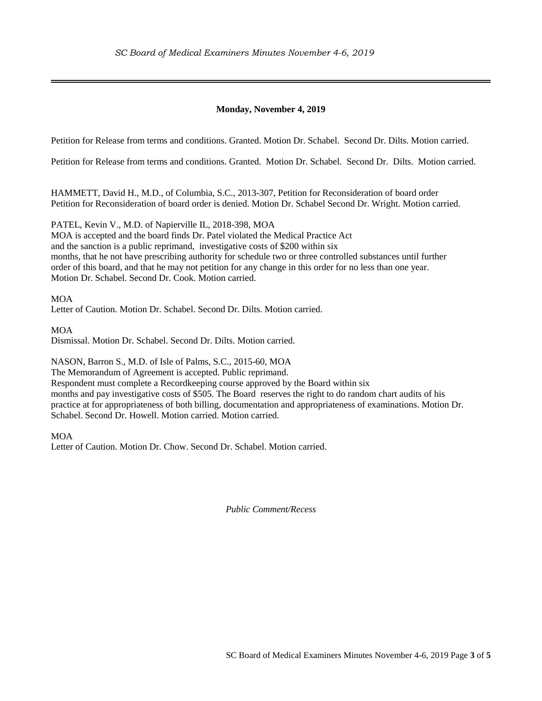# **Monday, November 4, 2019**

Petition for Release from terms and conditions. Granted. Motion Dr. Schabel. Second Dr. Dilts. Motion carried.

Petition for Release from terms and conditions. Granted. Motion Dr. Schabel. Second Dr. Dilts. Motion carried.

HAMMETT, David H., M.D., of Columbia, S.C., 2013-307, Petition for Reconsideration of board order Petition for Reconsideration of board order is denied. Motion Dr. Schabel Second Dr. Wright. Motion carried.

PATEL, Kevin V., M.D. of Napierville IL, 2018-398, MOA MOA is accepted and the board finds Dr. Patel violated the Medical Practice Act and the sanction is a public reprimand, investigative costs of \$200 within six months, that he not have prescribing authority for schedule two or three controlled substances until further order of this board, and that he may not petition for any change in this order for no less than one year. Motion Dr. Schabel. Second Dr. Cook. Motion carried.

# MOA

Letter of Caution. Motion Dr. Schabel. Second Dr. Dilts. Motion carried.

MOA

Dismissal. Motion Dr. Schabel. Second Dr. Dilts. Motion carried.

NASON, Barron S., M.D. of Isle of Palms, S.C., 2015-60, MOA

The Memorandum of Agreement is accepted. Public reprimand.

Respondent must complete a Recordkeeping course approved by the Board within six months and pay investigative costs of \$505. The Board reserves the right to do random chart audits of his practice at for appropriateness of both billing, documentation and appropriateness of examinations. Motion Dr. Schabel. Second Dr. Howell. Motion carried. Motion carried.

MOA

Letter of Caution. Motion Dr. Chow. Second Dr. Schabel. Motion carried.

*Public Comment/Recess*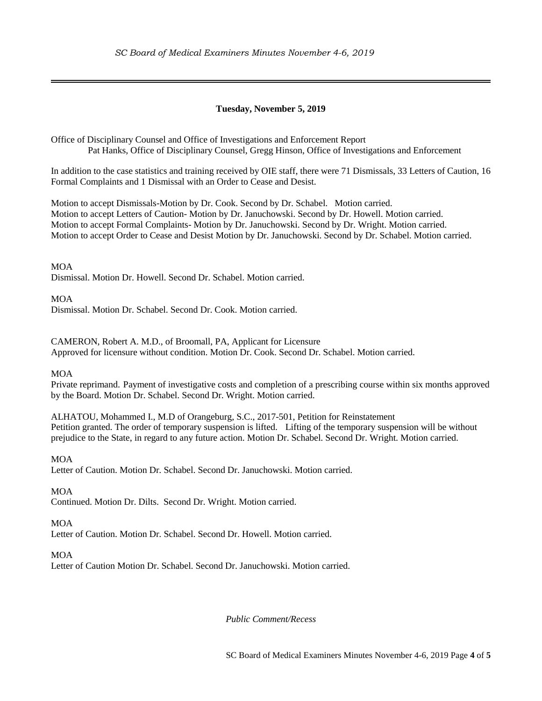# **Tuesday, November 5, 2019**

Office of Disciplinary Counsel and Office of Investigations and Enforcement Report Pat Hanks, Office of Disciplinary Counsel, Gregg Hinson, Office of Investigations and Enforcement

In addition to the case statistics and training received by OIE staff, there were 71 Dismissals, 33 Letters of Caution, 16 Formal Complaints and 1 Dismissal with an Order to Cease and Desist.

Motion to accept Dismissals-Motion by Dr. Cook. Second by Dr. Schabel. Motion carried. Motion to accept Letters of Caution- Motion by Dr. Januchowski. Second by Dr. Howell. Motion carried. Motion to accept Formal Complaints- Motion by Dr. Januchowski. Second by Dr. Wright. Motion carried. Motion to accept Order to Cease and Desist Motion by Dr. Januchowski. Second by Dr. Schabel. Motion carried.

#### MOA

Dismissal. Motion Dr. Howell. Second Dr. Schabel. Motion carried.

#### MOA

Dismissal. Motion Dr. Schabel. Second Dr. Cook. Motion carried.

CAMERON, Robert A. M.D., of Broomall, PA, Applicant for Licensure Approved for licensure without condition. Motion Dr. Cook. Second Dr. Schabel. Motion carried.

#### MOA

Private reprimand. Payment of investigative costs and completion of a prescribing course within six months approved by the Board. Motion Dr. Schabel. Second Dr. Wright. Motion carried.

ALHATOU, Mohammed I., M.D of Orangeburg, S.C., 2017-501, Petition for Reinstatement Petition granted. The order of temporary suspension is lifted. Lifting of the temporary suspension will be without prejudice to the State, in regard to any future action. Motion Dr. Schabel. Second Dr. Wright. Motion carried.

## MOA

Letter of Caution. Motion Dr. Schabel. Second Dr. Januchowski. Motion carried.

## MOA

Continued. Motion Dr. Dilts. Second Dr. Wright. Motion carried.

## **MOA**

Letter of Caution. Motion Dr. Schabel. Second Dr. Howell. Motion carried.

## MOA

Letter of Caution Motion Dr. Schabel. Second Dr. Januchowski. Motion carried.

*Public Comment/Recess*

SC Board of Medical Examiners Minutes November 4-6, 2019 Page **4** of **5**